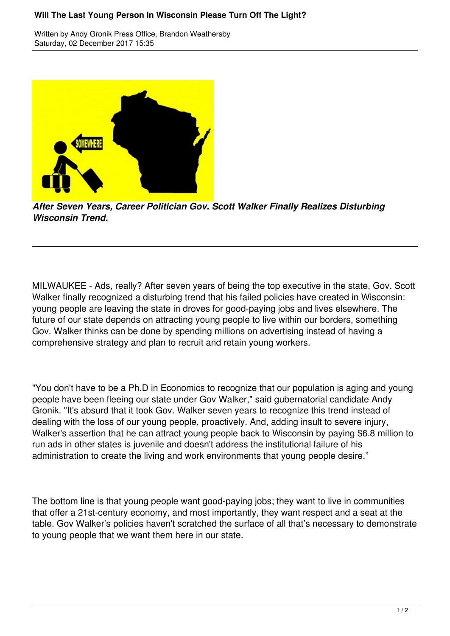## **Will The Last Young Person In Wisconsin Please Turn Off The Light?**

Written by Andy Gronik Press Office, Brandon Weathersby Saturday, 02 December 2017 15:35



*After Seven Years, Career Politician Gov. Scott Walker Finally Realizes Disturbing Wisconsin Trend.*

MILWAUKEE - Ads, really? After seven years of being the top executive in the state, Gov. Scott Walker finally recognized a disturbing trend that his failed policies have created in Wisconsin: young people are leaving the state in droves for good-paying jobs and lives elsewhere. The future of our state depends on attracting young people to live within our borders, something Gov. Walker thinks can be done by spending millions on advertising instead of having a comprehensive strategy and plan to recruit and retain young workers.

"You don't have to be a Ph.D in Economics to recognize that our population is aging and young people have been fleeing our state under Gov Walker," said gubernatorial candidate Andy Gronik. "It's absurd that it took Gov. Walker seven years to recognize this trend instead of dealing with the loss of our young people, proactively. And, adding insult to severe injury, Walker's assertion that he can attract young people back to Wisconsin by paying \$6.8 million to run ads in other states is juvenile and doesn't address the institutional failure of his administration to create the living and work environments that young people desire."

The bottom line is that young people want good-paying jobs; they want to live in communities that offer a 21st-century economy, and most importantly, they want respect and a seat at the table. Gov Walker's policies haven't scratched the surface of all that's necessary to demonstrate to young people that we want them here in our state.